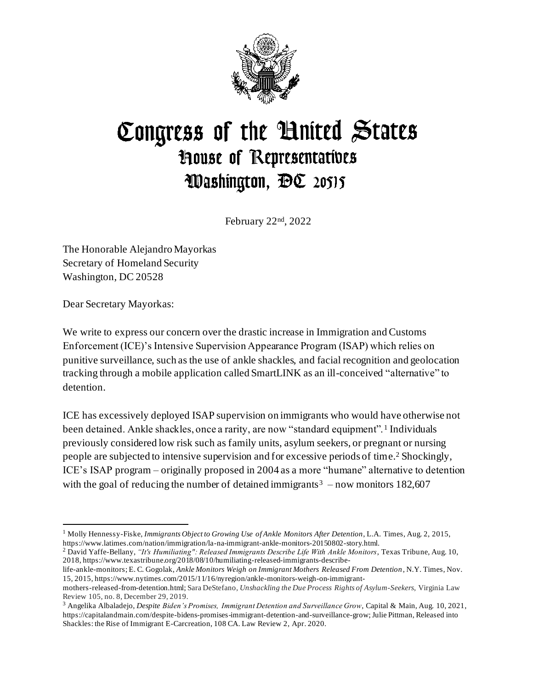

## Congress of the United States **House of Representatives** Washington, DC 20515

February 22nd, 2022

The Honorable Alejandro Mayorkas Secretary of Homeland Security Washington, DC 20528

Dear Secretary Mayorkas:

We write to express our concern over the drastic increase in Immigration and Customs Enforcement (ICE)'s Intensive Supervision Appearance Program (ISAP) which relies on punitive surveillance, such as the use of ankle shackles, and facial recognition and geolocation tracking through a mobile application called SmartLINK as an ill-conceived "alternative" to detention.

ICE has excessively deployed ISAP supervision on immigrants who would have otherwise not been detained. Ankle shackles, once a rarity, are now "standard equipment".<sup>1</sup> Individuals previously considered low risk such as family units, asylum seekers, or pregnant or nursing people are subjected to intensive supervision and for excessive periods of time.<sup>2</sup> Shockingly, ICE's ISAP program – originally proposed in 2004 as a more "humane" alternative to detention with the goal of reducing the number of detained immigrants<sup>3</sup> – now monitors 182,607

<sup>1</sup> Molly Hennessy-Fiske, *Immigrants Object to Growing Use of Ankle Monitors After Detention*, L.A. Times, Aug. 2, 2015, https://www.latimes.com/nation/immigration/la-na-immigrant-ankle-monitors-20150802-story.html.

<sup>2</sup> David Yaffe-Bellany, *"It's Humiliating": Released Immigrants Describe Life With Ankle Monitors*, Texas Tribune, Aug. 10, 2018, https://www.texastribune.org/2018/08/10/humiliating-released-immigrants-describe-

life-ankle-monitors; E. C. Gogolak, *Ankle Monitors Weigh on Immigrant Mothers Released From Detention*, N.Y. Times, Nov. 15, 2015, https://www.nytimes.com/2015/11/16/nyregion/ankle-monitors-weigh-on-immigrant-

mothers-released-from-detention.html; Sara DeStefano, *Unshackling the Due Process Rights of Asylum-Seekers*, Virginia Law Review 105, no. 8, December 29, 2019.

<sup>3</sup> Angelika Albaladejo, *Despite Biden's Promises, Immigrant Detention and Surveillance Grow*, Capital & Main, Aug. 10, 2021, https://capitalandmain.com/despite-bidens-promises-immigrant-detention-and-surveillance-grow; Julie Pittman, Released into Shackles: the Rise of Immigrant E-Carcreation, 108 CA. Law Review 2, Apr. 2020.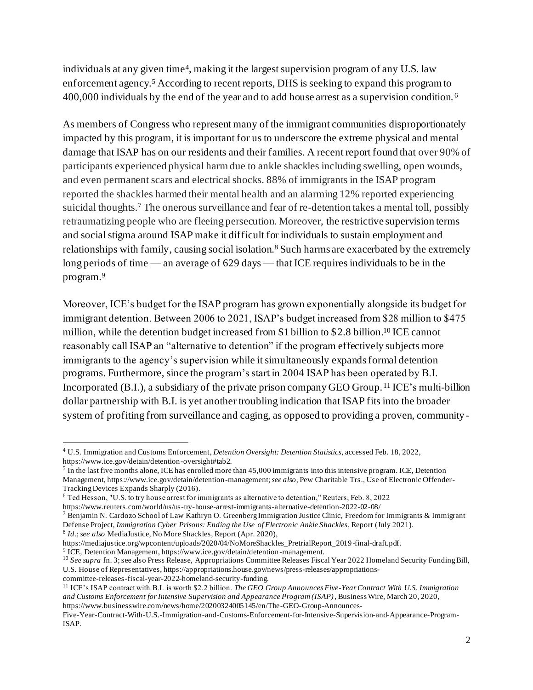individuals at any given time<sup>4</sup> , making it the largest supervision program of any U.S. law enforcement agency.<sup>5</sup> According to recent reports, DHS is seeking to expand this program to 400,000 individuals by the end of the year and to add house arrest as a supervision condition. <sup>6</sup>

As members of Congress who represent many of the immigrant communities disproportionately impacted by this program, it is important for us to underscore the extreme physical and mental damage that ISAP has on our residents and their families. A recent report found that over 90% of participants experienced physical harm due to ankle shackles including swelling, open wounds, and even permanent scars and electrical shocks. 88% of immigrants in the ISAP program reported the shackles harmed their mental health and an alarming 12% reported experiencing suicidal thoughts.<sup>7</sup> The onerous surveillance and fear of re-detention takes a mental toll, possibly retraumatizing people who are fleeing persecution. Moreover, the restrictive supervision terms and social stigma around ISAP make it difficult for individuals to sustain employment and relationships with family, causing social isolation.<sup>8</sup> Such harms are exacerbated by the extremely long periods of time — an average of 629 days — that ICE requires individuals to be in the program. 9

Moreover, ICE's budget for the ISAP program has grown exponentially alongside its budget for immigrant detention. Between 2006 to 2021, ISAP's budget increased from \$28 million to \$475 million, while the detention budget increased from \$1 billion to \$2.8 billion.<sup>10</sup> ICE cannot reasonably call ISAP an "alternative to detention" if the program effectively subjects more immigrants to the agency's supervision while it simultaneously expands formal detention programs. Furthermore, since the program's start in 2004 ISAP has been operated by B.I. Incorporated (B.I.), a subsidiary of the private prison company GEO Group. <sup>11</sup> ICE's multi-billion dollar partnership with B.I. is yet another troubling indication that ISAP fits into the broader system of profiting from surveillance and caging, as opposed to providing a proven, community-

committee-releases-fiscal-year-2022-homeland-security-funding.

<sup>11</sup> ICE's ISAP contract with B.I. is worth \$2.2 billion. *The GEO Group Announces Five-Year Contract With U.S. Immigration and Customs Enforcement for Intensive Supervision and Appearance Program (ISAP)*, Business Wire, March 20, 2020, https://www.businesswire.com/news/home/20200324005145/en/The-GEO-Group-Announces-

<sup>4</sup> U.S. Immigration and Customs Enforcement*, Detention Oversight: Detention Statistics*, accessed Feb. 18, 2022, https://www.ice.gov/detain/detention-oversight#tab2.

 $<sup>5</sup>$  In the last five months alone, ICE has enrolled more than 45,000 immigrants into this intensive program. ICE, Detention</sup> Management, https://www.ice.gov/detain/detention-management; *see also*, Pew Charitable Trs., Use of Electronic Offender-Tracking Devices Expands Sharply (2016).

<sup>6</sup> Ted Hesson, "U.S. to try house arrest for immigrants as alternative to detention," Reuters, Feb. 8, 2022

https://www.reuters.com/world/us/us-try-house-arrest-immigrants-alternative-detention-2022-02-08/

<sup>&</sup>lt;sup>7</sup> Benjamin N. Cardozo School of Law Kathryn O. Greenberg Immigration Justice Clinic, Freedom for Immigrants & Immigrant Defense Project, *Immigration Cyber Prisons: Ending the Use of Electronic Ankle Shackles*, Report (July 2021).

<sup>8</sup> *Id.*; *see also* MediaJustice, No More Shackles, Report (Apr. 2020), https://mediajustice.org/wpcontent/uploads/2020/04/NoMoreShackles\_PretrialReport\_2019 -final-draft.pdf.

<sup>&</sup>lt;sup>9</sup> ICE, Detention Management, https://www.ice.gov/detain/detention-management.

<sup>&</sup>lt;sup>10</sup> See supra fn. 3; see also Press Release, Appropriations Committee Releases Fiscal Year 2022 Homeland Security Funding Bill, U.S. House of Representatives, https://appropriations.house.gov/news/press-releases/appropriations-

Five-Year-Contract-With-U.S.-Immigration-and-Customs-Enforcement-for-Intensive-Supervision-and-Appearance-Program-ISAP.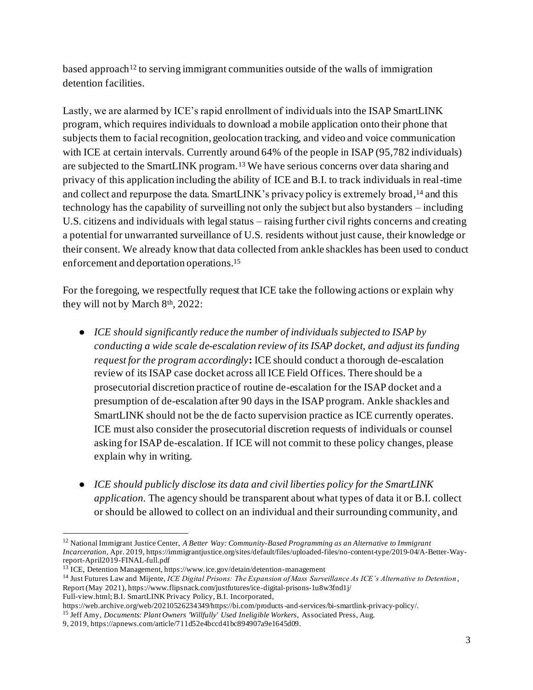based approach<sup>12</sup> to serving immigrant communities outside of the walls of immigration detention facilities.

Lastly, we are alarmed by ICE's rapid enrollment of individuals into the ISAP SmartLINK program, which requires individuals to download a mobile application onto their phone that subjects them to facial recognition, geolocation tracking, and video and voice communication with ICE at certain intervals. Currently around 64% of the people in ISAP (95,782 individuals) are subjected to the SmartLINK program.<sup>13</sup> We have serious concerns over data sharing and privacy of this application including the ability of ICE and B.I. to track individuals in real-time and collect and repurpose the data. SmartLINK's privacy policy is extremely broad, <sup>14</sup> and this technology has the capability of surveilling not only the subject but also bystanders – including U.S. citizens and individuals with legal status – raising further civil rights concerns and creating a potential for unwarranted surveillance of U.S. residents without just cause, their knowledge or their consent. We already know that data collected from ankle shackles has been used to conduct enforcement and deportation operations.<sup>15</sup>

For the foregoing, we respectfully request that ICE take the following actions or explain why they will not by March 8<sup>th</sup>, 2022:

- *ICE should significantly reduce the number of individuals subjected to ISAP by conducting a wide scale de-escalation review of its ISAP docket, and adjust its funding request for the program accordingly***:** ICE should conduct a thorough de-escalation review of its ISAP case docket across all ICE Field Offices. There should be a prosecutorial discretion practice of routine de-escalation for the ISAP docket and a presumption of de-escalation after 90 days in the ISAP program. Ankle shackles and SmartLINK should not be the de facto supervision practice as ICE currently operates. ICE must also consider the prosecutorial discretion requests of individuals or counsel asking for ISAP de-escalation. If ICE will not commit to these policy changes, please explain why in writing.
- *ICE should publicly disclose its data and civil liberties policy for the SmartLINK application.* The agency should be transparent about what types of data it or B.I. collect or should be allowed to collect on an individual and their surrounding community, and

<sup>12</sup> National Immigrant Justice Center, *A Better Way: Community-Based Programming as an Alternative to Immigrant Incarceration*, Apr. 2019, https://immigrantjustice.org/sites/default/files/uploaded-files/no-content-type/2019-04/A-Better-Wayreport-April2019-FINAL-full.pdf

<sup>&</sup>lt;sup>13</sup> ICE, Detention Management, https://www.ice.gov/detain/detention-management

<sup>14</sup> Just Futures Law and Mijente, *ICE Digital Prisons: The Expansion of Mass Surveillance As ICE's Alternative to Detention* , Report (May 2021), https://www.flipsnack.com/justfutures/ice-digital-prisons-1u8w3fnd1j/ Full-view.html; B.I. SmartLINK Privacy Policy, B.I. Incorporated,

https://web.archive.org/web/20210526234349/https://bi.com/products-and-services/bi-smartlink-privacy-policy/.

<sup>&</sup>lt;sup>15</sup> Jeff Amy, *Documents: Plant Owners 'Willfully' Used Ineligible Workers*, Associated Press, Aug.

<sup>9, 2019,</sup> https://apnews.com/article/711d52e4bccd41bc894907a9e1645d09.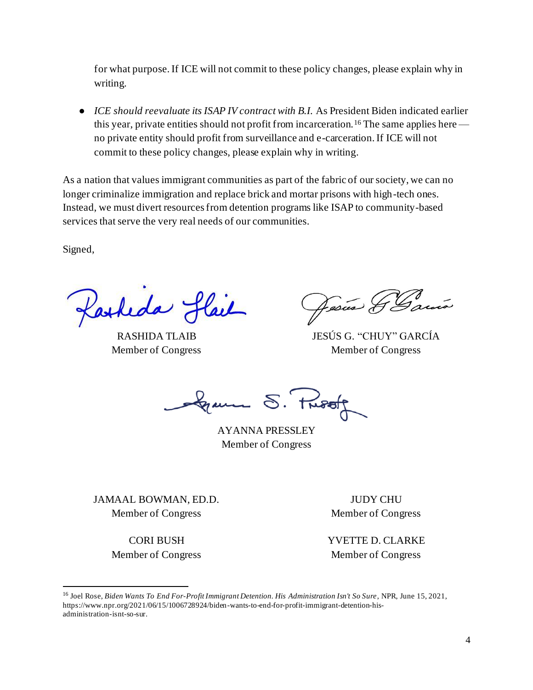for what purpose. If ICE will not commit to these policy changes, please explain why in writing.

● *ICE should reevaluate its ISAP IV contract with B.I.* As President Biden indicated earlier this year, private entities should not profit from incarceration.<sup>16</sup> The same applies here no private entity should profit from surveillance and e-carceration. If ICE will not commit to these policy changes, please explain why in writing.

As a nation that values immigrant communities as part of the fabric of our society, we can no longer criminalize immigration and replace brick and mortar prisons with high-tech ones. Instead, we must divert resources from detention programs like ISAP to community-based services that serve the very real needs of our communities.

Signed,

Parkeda Slail

RASHIDA TLAIB Member of Congress

Jesus &

JESÚS G. "CHUY" GARCÍA Member of Congress

S. Proof

AYANNA PRESSLEY Member of Congress

JAMAAL BOWMAN, ED.D. Member of Congress

> CORI BUSH Member of Congress

JUDY CHU Member of Congress

YVETTE D. CLARKE Member of Congress

<sup>16</sup> Joel Rose, *Biden Wants To End For-Profit Immigrant Detention. His Administration Isn't So Sure*, NPR, June 15, 2021, https://www.npr.org/2021/06/15/1006728924/biden-wants-to-end-for-profit-immigrant-detention-hisadministration-isnt-so-sur.